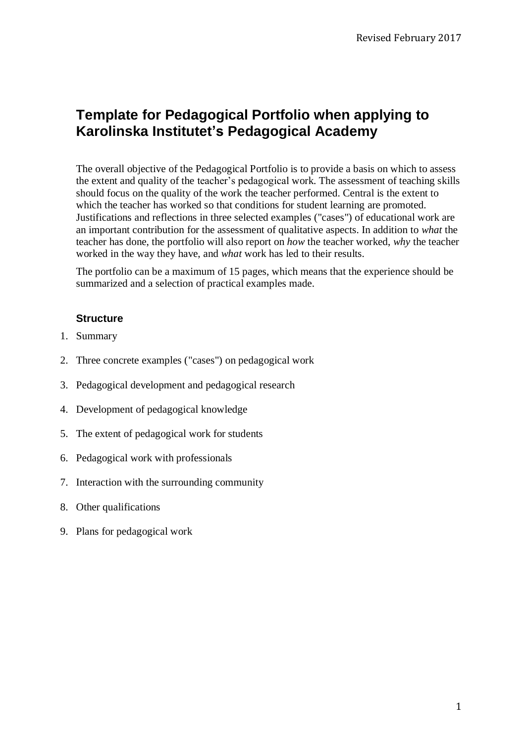# **Template for Pedagogical Portfolio when applying to Karolinska Institutet's Pedagogical Academy**

The overall objective of the Pedagogical Portfolio is to provide a basis on which to assess the extent and quality of the teacher's pedagogical work. The assessment of teaching skills should focus on the quality of the work the teacher performed. Central is the extent to which the teacher has worked so that conditions for student learning are promoted. Justifications and reflections in three selected examples ("cases") of educational work are an important contribution for the assessment of qualitative aspects. In addition to *what* the teacher has done, the portfolio will also report on *how* the teacher worked, *why* the teacher worked in the way they have, and *what* work has led to their results.

The portfolio can be a maximum of 15 pages, which means that the experience should be summarized and a selection of practical examples made.

#### **Structure**

- 1. Summary
- 2. Three concrete examples ("cases") on pedagogical work
- 3. Pedagogical development and pedagogical research
- 4. Development of pedagogical knowledge
- 5. The extent of pedagogical work for students
- 6. Pedagogical work with professionals
- 7. Interaction with the surrounding community
- 8. Other qualifications
- 9. Plans for pedagogical work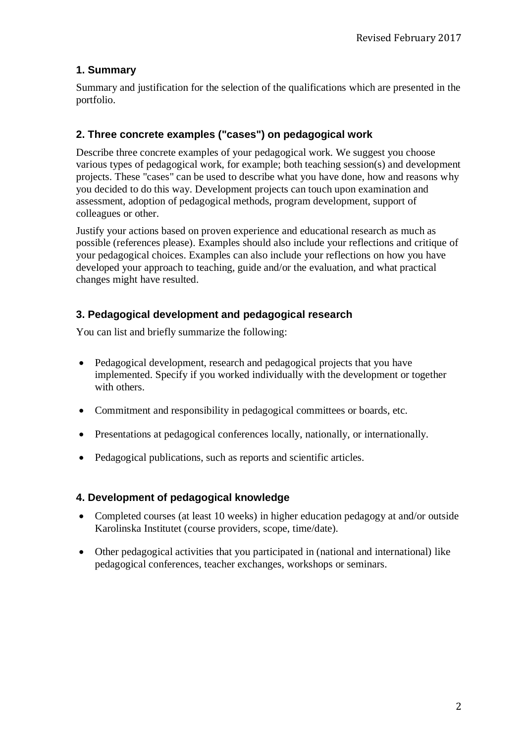# **1. Summary**

Summary and justification for the selection of the qualifications which are presented in the portfolio.

# **2. Three concrete examples ("cases") on pedagogical work**

Describe three concrete examples of your pedagogical work. We suggest you choose various types of pedagogical work, for example; both teaching session(s) and development projects. These "cases" can be used to describe what you have done, how and reasons why you decided to do this way. Development projects can touch upon examination and assessment, adoption of pedagogical methods, program development, support of colleagues or other.

Justify your actions based on proven experience and educational research as much as possible (references please). Examples should also include your reflections and critique of your pedagogical choices. Examples can also include your reflections on how you have developed your approach to teaching, guide and/or the evaluation, and what practical changes might have resulted.

# **3. Pedagogical development and pedagogical research**

You can list and briefly summarize the following:

- Pedagogical development, research and pedagogical projects that you have implemented. Specify if you worked individually with the development or together with others.
- Commitment and responsibility in pedagogical committees or boards, etc.
- Presentations at pedagogical conferences locally, nationally, or internationally.
- Pedagogical publications, such as reports and scientific articles.

#### **4. Development of pedagogical knowledge**

- Completed courses (at least 10 weeks) in higher education pedagogy at and/or outside Karolinska Institutet (course providers, scope, time/date).
- Other pedagogical activities that you participated in (national and international) like pedagogical conferences, teacher exchanges, workshops or seminars.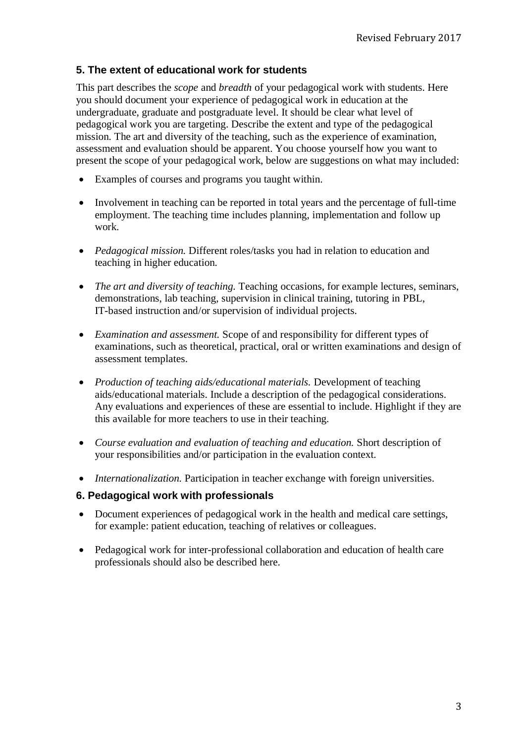## **5. The extent of educational work for students**

This part describes the *scope* and *breadth* of your pedagogical work with students. Here you should document your experience of pedagogical work in education at the undergraduate, graduate and postgraduate level. It should be clear what level of pedagogical work you are targeting. Describe the extent and type of the pedagogical mission. The art and diversity of the teaching, such as the experience of examination, assessment and evaluation should be apparent. You choose yourself how you want to present the scope of your pedagogical work, below are suggestions on what may included:

- Examples of courses and programs you taught within.
- Involvement in teaching can be reported in total years and the percentage of full-time employment. The teaching time includes planning, implementation and follow up work.
- *Pedagogical mission.* Different roles/tasks you had in relation to education and teaching in higher education.
- *The art and diversity of teaching.* Teaching occasions, for example lectures, seminars, demonstrations, lab teaching, supervision in clinical training, tutoring in PBL, IT-based instruction and/or supervision of individual projects.
- *Examination and assessment.* Scope of and responsibility for different types of examinations, such as theoretical, practical, oral or written examinations and design of assessment templates.
- *Production of teaching aids/educational materials.* Development of teaching aids/educational materials. Include a description of the pedagogical considerations. Any evaluations and experiences of these are essential to include. Highlight if they are this available for more teachers to use in their teaching.
- *Course evaluation and evaluation of teaching and education.* Short description of your responsibilities and/or participation in the evaluation context.
- *Internationalization.* Participation in teacher exchange with foreign universities.

#### **6. Pedagogical work with professionals**

- Document experiences of pedagogical work in the health and medical care settings, for example: patient education, teaching of relatives or colleagues.
- Pedagogical work for inter-professional collaboration and education of health care professionals should also be described here.